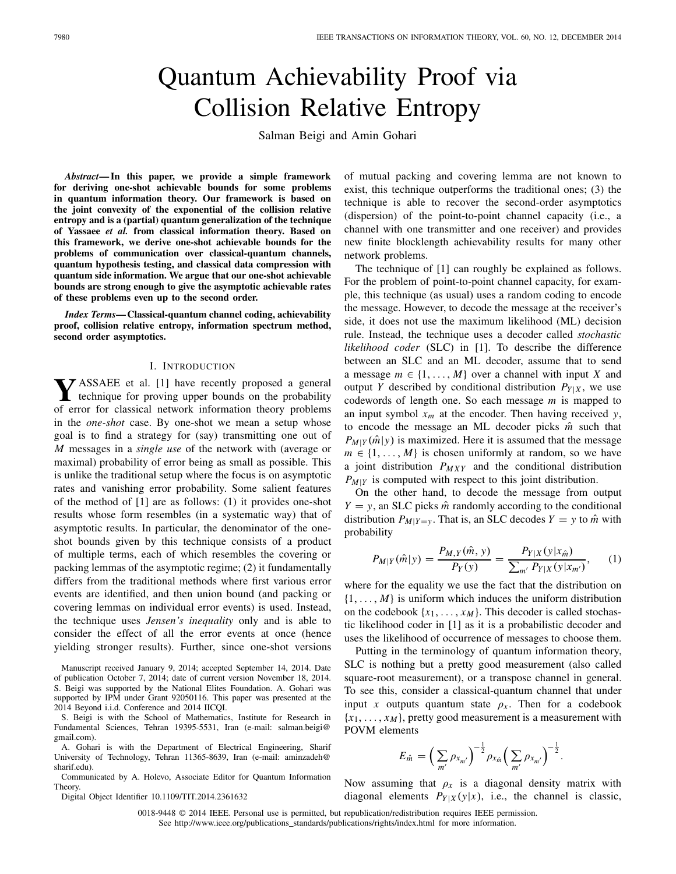# Quantum Achievability Proof via Collision Relative Entropy

Salman Beigi and Amin Gohari

*Abstract***— In this paper, we provide a simple framework for deriving one-shot achievable bounds for some problems in quantum information theory. Our framework is based on the joint convexity of the exponential of the collision relative entropy and is a (partial) quantum generalization of the technique of Yassaee** *et al.* **from classical information theory. Based on this framework, we derive one-shot achievable bounds for the problems of communication over classical-quantum channels, quantum hypothesis testing, and classical data compression with quantum side information. We argue that our one-shot achievable bounds are strong enough to give the asymptotic achievable rates of these problems even up to the second order.**

*Index Terms***— Classical-quantum channel coding, achievability proof, collision relative entropy, information spectrum method, second order asymptotics.**

#### I. INTRODUCTION

**Y**ASSAEE et al. [1] have recently proposed a general technique for proving upper bounds on the probability of error for classical network information theory problems in the *one-shot* case. By one-shot we mean a setup whose goal is to find a strategy for (say) transmitting one out of *M* messages in a *single use* of the network with (average or maximal) probability of error being as small as possible. This is unlike the traditional setup where the focus is on asymptotic rates and vanishing error probability. Some salient features of the method of [1] are as follows: (1) it provides one-shot results whose form resembles (in a systematic way) that of asymptotic results. In particular, the denominator of the oneshot bounds given by this technique consists of a product of multiple terms, each of which resembles the covering or packing lemmas of the asymptotic regime; (2) it fundamentally differs from the traditional methods where first various error events are identified, and then union bound (and packing or covering lemmas on individual error events) is used. Instead, the technique uses *Jensen's inequality* only and is able to consider the effect of all the error events at once (hence yielding stronger results). Further, since one-shot versions

Manuscript received January 9, 2014; accepted September 14, 2014. Date of publication October 7, 2014; date of current version November 18, 2014. S. Beigi was supported by the National Elites Foundation. A. Gohari was supported by IPM under Grant 92050116. This paper was presented at the 2014 Beyond i.i.d. Conference and 2014 IICQI.

S. Beigi is with the School of Mathematics, Institute for Research in Fundamental Sciences, Tehran 19395-5531, Iran (e-mail: salman.beigi@ gmail.com).

A. Gohari is with the Department of Electrical Engineering, Sharif University of Technology, Tehran 11365-8639, Iran (e-mail: aminzadeh@ sharif.edu).

Communicated by A. Holevo, Associate Editor for Quantum Information Theory.

Digital Object Identifier 10.1109/TIT.2014.2361632

of mutual packing and covering lemma are not known to exist, this technique outperforms the traditional ones; (3) the technique is able to recover the second-order asymptotics (dispersion) of the point-to-point channel capacity (i.e., a channel with one transmitter and one receiver) and provides new finite blocklength achievability results for many other network problems.

The technique of [1] can roughly be explained as follows. For the problem of point-to-point channel capacity, for example, this technique (as usual) uses a random coding to encode the message. However, to decode the message at the receiver's side, it does not use the maximum likelihood (ML) decision rule. Instead, the technique uses a decoder called *stochastic likelihood coder* (SLC) in [1]. To describe the difference between an SLC and an ML decoder, assume that to send a message  $m \in \{1, \ldots, M\}$  over a channel with input X and output *Y* described by conditional distribution  $P_{Y|X}$ , we use codewords of length one. So each message *m* is mapped to an input symbol  $x_m$  at the encoder. Then having received *y*, to encode the message an ML decoder picks *m*ˆ such that  $P_{M|Y}(\hat{m}|y)$  is maximized. Here it is assumed that the message  $m \in \{1, \ldots, M\}$  is chosen uniformly at random, so we have a joint distribution *PMXY* and the conditional distribution *P<sub>M|Y</sub>* is computed with respect to this joint distribution.

On the other hand, to decode the message from output  $Y = y$ , an SLC picks  $\hat{m}$  randomly according to the conditional distribution  $P_{M|Y=y}$ . That is, an SLC decodes  $Y = y$  to  $\hat{m}$  with probability

$$
P_{M|Y}(\hat{m}|y) = \frac{P_{M,Y}(\hat{m}, y)}{P_Y(y)} = \frac{P_{Y|X}(y|x_{\hat{m}})}{\sum_{m'} P_{Y|X}(y|x_{m'})},\qquad(1)
$$

where for the equality we use the fact that the distribution on  $\{1, \ldots, M\}$  is uniform which induces the uniform distribution on the codebook  $\{x_1, \ldots, x_M\}$ . This decoder is called stochastic likelihood coder in [1] as it is a probabilistic decoder and uses the likelihood of occurrence of messages to choose them.

Putting in the terminology of quantum information theory, SLC is nothing but a pretty good measurement (also called square-root measurement), or a transpose channel in general. To see this, consider a classical-quantum channel that under input *x* outputs quantum state  $\rho_x$ . Then for a codebook  ${x_1, \ldots, x_M}$ , pretty good measurement is a measurement with POVM elements

$$
E_{\hat{m}} = \left(\sum_{m'} \rho_{x_{m'}}\right)^{-\frac{1}{2}} \rho_{x_{\hat{m}}} \left(\sum_{m'} \rho_{x_{m'}}\right)^{-\frac{1}{2}}.
$$

Now assuming that  $\rho_x$  is a diagonal density matrix with diagonal elements  $P_{Y|X}(y|x)$ , i.e., the channel is classic,

0018-9448 © 2014 IEEE. Personal use is permitted, but republication/redistribution requires IEEE permission. See http://www.ieee.org/publications\_standards/publications/rights/index.html for more information.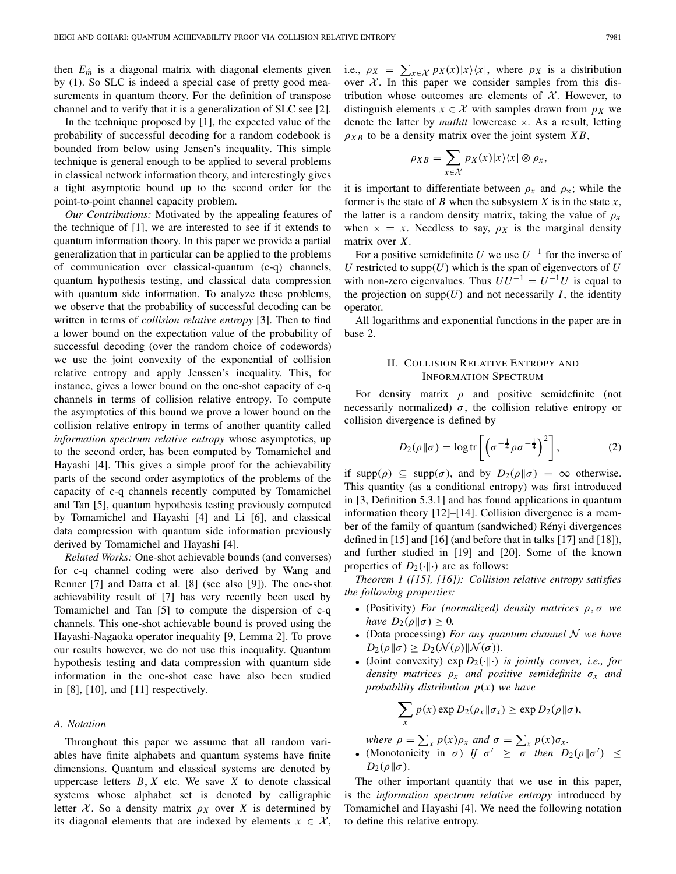then  $E_{\hat{m}}$  is a diagonal matrix with diagonal elements given by (1). So SLC is indeed a special case of pretty good measurements in quantum theory. For the definition of transpose channel and to verify that it is a generalization of SLC see [2].

In the technique proposed by [1], the expected value of the probability of successful decoding for a random codebook is bounded from below using Jensen's inequality. This simple technique is general enough to be applied to several problems in classical network information theory, and interestingly gives a tight asymptotic bound up to the second order for the point-to-point channel capacity problem.

*Our Contributions:* Motivated by the appealing features of the technique of [1], we are interested to see if it extends to quantum information theory. In this paper we provide a partial generalization that in particular can be applied to the problems of communication over classical-quantum (c-q) channels, quantum hypothesis testing, and classical data compression with quantum side information. To analyze these problems, we observe that the probability of successful decoding can be written in terms of *collision relative entropy* [3]. Then to find a lower bound on the expectation value of the probability of successful decoding (over the random choice of codewords) we use the joint convexity of the exponential of collision relative entropy and apply Jenssen's inequality. This, for instance, gives a lower bound on the one-shot capacity of c-q channels in terms of collision relative entropy. To compute the asymptotics of this bound we prove a lower bound on the collision relative entropy in terms of another quantity called *information spectrum relative entropy* whose asymptotics, up to the second order, has been computed by Tomamichel and Hayashi [4]. This gives a simple proof for the achievability parts of the second order asymptotics of the problems of the capacity of c-q channels recently computed by Tomamichel and Tan [5], quantum hypothesis testing previously computed by Tomamichel and Hayashi [4] and Li [6], and classical data compression with quantum side information previously derived by Tomamichel and Hayashi [4].

*Related Works:* One-shot achievable bounds (and converses) for c-q channel coding were also derived by Wang and Renner [7] and Datta et al. [8] (see also [9]). The one-shot achievability result of [7] has very recently been used by Tomamichel and Tan [5] to compute the dispersion of c-q channels. This one-shot achievable bound is proved using the Hayashi-Nagaoka operator inequality [9, Lemma 2]. To prove our results however, we do not use this inequality. Quantum hypothesis testing and data compression with quantum side information in the one-shot case have also been studied in [8], [10], and [11] respectively.

## *A. Notation*

Throughout this paper we assume that all random variables have finite alphabets and quantum systems have finite dimensions. Quantum and classical systems are denoted by uppercase letters  $B, X$  etc. We save  $X$  to denote classical systems whose alphabet set is denoted by calligraphic letter *X*. So a density matrix  $\rho_X$  over *X* is determined by its diagonal elements that are indexed by elements  $x \in \mathcal{X}$ , i.e.,  $\rho_X = \sum_{x \in \mathcal{X}} p_X(x)|x\rangle\langle x|$ , where  $p_X$  is a distribution over  $X$ . In this paper we consider samples from this distribution whose outcomes are elements of  $X$ . However, to distinguish elements  $x \in \mathcal{X}$  with samples drawn from  $p_X$  we denote the latter by *mathtt* lowercase x. As a result, letting  $\rho_{XB}$  to be a density matrix over the joint system  $XB$ ,

$$
\rho_{XB} = \sum_{x \in \mathcal{X}} p_X(x) |x\rangle\langle x| \otimes \rho_x,
$$

it is important to differentiate between  $\rho_x$  and  $\rho_x$ ; while the former is the state of *B* when the subsystem *X* is in the state *x*, the latter is a random density matrix, taking the value of  $\rho<sub>x</sub>$ when  $x = x$ . Needless to say,  $\rho_X$  is the marginal density matrix over *X*.

For a positive semidefinite *U* we use  $U^{-1}$  for the inverse of  $U$  restricted to supp $(U)$  which is the span of eigenvectors of  $U$ with non-zero eigenvalues. Thus  $UU^{-1} = U^{-1}U$  is equal to the projection on supp $(U)$  and not necessarily *I*, the identity operator.

All logarithms and exponential functions in the paper are in base 2.

# II. COLLISION RELATIVE ENTROPY AND INFORMATION SPECTRUM

For density matrix  $\rho$  and positive semidefinite (not necessarily normalized)  $\sigma$ , the collision relative entropy or collision divergence is defined by

$$
D_2(\rho \| \sigma) = \log \text{tr}\left[\left(\sigma^{-\frac{1}{4}}\rho \sigma^{-\frac{1}{4}}\right)^2\right],\tag{2}
$$

if supp( $\rho$ )  $\subseteq$  supp( $\sigma$ ), and by  $D_2(\rho||\sigma) = \infty$  otherwise. This quantity (as a conditional entropy) was first introduced in [3, Definition 5.3.1] and has found applications in quantum information theory [12]–[14]. Collision divergence is a member of the family of quantum (sandwiched) Rényi divergences defined in [15] and [16] (and before that in talks [17] and [18]), and further studied in [19] and [20]. Some of the known properties of  $D_2(\cdot\|\cdot)$  are as follows:

*Theorem 1 ([15], [16]): Collision relative entropy satisfies the following properties:*

- (Positivity) *For (normalized) density matrices* ρ,σ *we have*  $D_2(\rho || \sigma) > 0$ *.*
- (Data processing) *For any quantum channel N we have*  $D_2(\rho || \sigma) \geq D_2(\mathcal{N}(\rho) || \mathcal{N}(\sigma)).$
- (Joint convexity)  $\exp D_2(\cdot\|\cdot)$  *is jointly convex, i.e., for density matrices* ρ*<sup>x</sup> and positive semidefinite* σ*<sup>x</sup> and probability distribution p*(*x*) *we have*

$$
\sum_{x} p(x) \exp D_2(\rho_x \| \sigma_x) \geq \exp D_2(\rho \| \sigma),
$$

*where*  $\rho = \sum_{x} p(x) \rho_x$  *and*  $\sigma = \sum_{x} p(x) \sigma_x$ .

• (Monotonicity in  $\sigma$ ) *If*  $\sigma' \geq \sigma'$  *then*  $D_2(\rho || \sigma') \leq$  $D_2(\rho||\sigma)$ .

The other important quantity that we use in this paper, is the *information spectrum relative entropy* introduced by Tomamichel and Hayashi [4]. We need the following notation to define this relative entropy.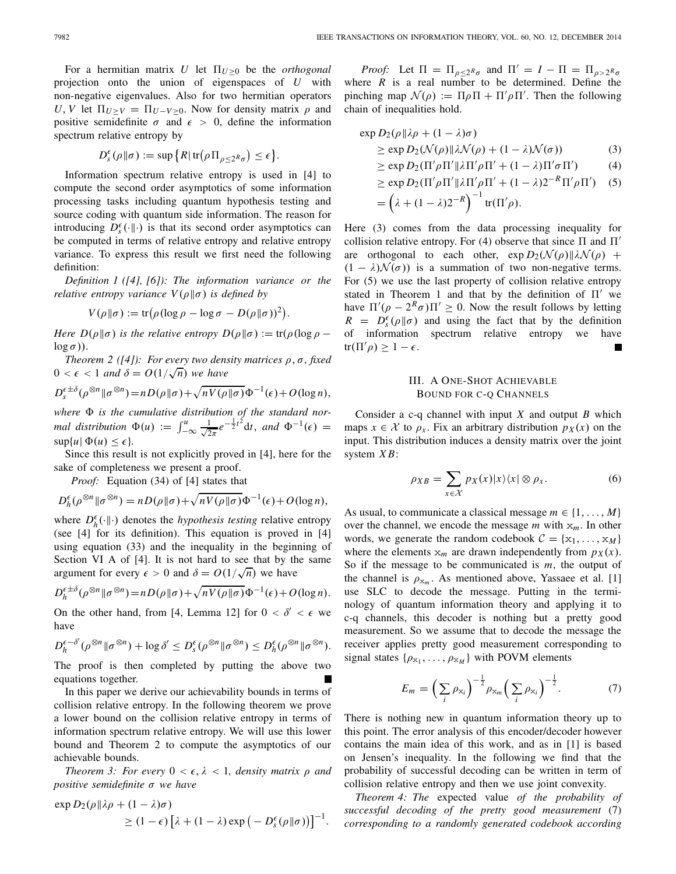For a hermitian matrix *U* let  $\Pi_{U>0}$  be the *orthogonal* projection onto the union of eigenspaces of *U* with non-negative eigenvalues. Also for two hermitian operators *U*, *V* let  $\Pi_{U \geq V} = \Pi_{U - V \geq 0}$ . Now for density matrix  $\rho$  and positive semidefinite  $\sigma$  and  $\epsilon > 0$ , define the information spectrum relative entropy by

$$
D_s^{\epsilon}(\rho \| \sigma) := \sup \big\{ R | \operatorname{tr}(\rho \Pi_{\rho \leq 2^R \sigma}) \leq \epsilon \big\}.
$$

Information spectrum relative entropy is used in [4] to compute the second order asymptotics of some information processing tasks including quantum hypothesis testing and source coding with quantum side information. The reason for introducing  $D_s^{\epsilon}(\cdot|\cdot)$  is that its second order asymptotics can be computed in terms of relative entropy and relative entropy variance. To express this result we first need the following definition:

*Definition 1 ([4], [6]): The information variance or the relative entropy variance*  $V(\rho||\sigma)$  *is defined by* 

$$
V(\rho||\sigma) := \text{tr}(\rho(\log \rho - \log \sigma - D(\rho||\sigma))^2).
$$

*Here D*( $\rho || \sigma$ ) *is the relative entropy D*( $\rho || \sigma$ ) := tr( $\rho$ (log  $\rho$  –  $\log \sigma$ )).

*Theorem 2 ([4]): For every two density matrices*  $\rho$ ,  $\sigma$ , fixed  $1$  *neorem*  $2(14)$ : *For every two dens*<br> $0 < \epsilon < 1$  and  $\delta = O(1/\sqrt{n})$  we have

$$
D_s^{\epsilon\pm\delta}(\rho^{\otimes n}||\sigma^{\otimes n}) = nD(\rho||\sigma) + \sqrt{nV(\rho||\sigma)}\Phi^{-1}(\epsilon) + O(\log n),
$$

where  $\Phi$  is the cumulative distribution of the standard nor*mal distribution*  $\Phi(u) := \int_{-\infty}^{u} \frac{1}{\sqrt{2\pi}} e^{-\frac{1}{2}t^2} dt$ , and  $\Phi^{-1}(\epsilon) =$  $\sup\{u \mid \Phi(u) \leq \epsilon\}.$ 

Since this result is not explicitly proved in [4], here for the sake of completeness we present a proof.

*Proof:* Equation (34) of [4] states that

$$
D_h^{\epsilon}(\rho^{\otimes n}||\sigma^{\otimes n}) = nD(\rho||\sigma) + \sqrt{nV(\rho||\sigma)}\Phi^{-1}(\epsilon) + O(\log n),
$$

where  $D_h^{\epsilon}(\cdot|\cdot)$  denotes the *hypothesis testing* relative entropy (see [4] for its definition). This equation is proved in [4] using equation (33) and the inequality in the beginning of Section VI A of [4]. It is not hard to see that by the same argument for every  $\epsilon > 0$  and  $\delta = O(1/\sqrt{n})$  we have

$$
D_h^{\epsilon\pm\delta}(\rho^{\otimes n}||\sigma^{\otimes n}) = nD(\rho||\sigma) + \sqrt{nV(\rho||\sigma)}\Phi^{-1}(\epsilon) + O(\log n).
$$

On the other hand, from [4, Lemma 12] for  $0 < \delta' < \epsilon$  we have

$$
D_h^{\epsilon-\delta'}(\rho^{\otimes n} \|\sigma^{\otimes n}) + \log \delta' \leq D_s^{\epsilon}(\rho^{\otimes n} \|\sigma^{\otimes n}) \leq D_h^{\epsilon}(\rho^{\otimes n} \|\sigma^{\otimes n}).
$$

The proof is then completed by putting the above two equations together.

In this paper we derive our achievability bounds in terms of collision relative entropy. In the following theorem we prove a lower bound on the collision relative entropy in terms of information spectrum relative entropy. We will use this lower bound and Theorem 2 to compute the asymptotics of our achievable bounds.

*Theorem 3: For every*  $0 < \epsilon, \lambda < 1$ *, density matrix*  $\rho$  *and positive semidefinite* σ *we have*

$$
\exp D_2(\rho || \lambda \rho + (1 - \lambda)\sigma)
$$
  
 
$$
\geq (1 - \epsilon) [\lambda + (1 - \lambda) \exp (-D_s^{\epsilon}(\rho || \sigma))]^{-1}.
$$

*Proof:* Let  $\Pi = \Pi_{\rho \leq 2^R \sigma}$  and  $\Pi' = I - \Pi = \Pi_{\rho > 2^R \sigma}$ where  $R$  is a real number to be determined. Define the pinching map  $\mathcal{N}(\rho) := \Pi \rho \Pi + \Pi' \rho \Pi'$ . Then the following chain of inequalities hold.

$$
\exp D_2(\rho || \lambda \rho + (1 - \lambda)\sigma)
$$
  
\n
$$
\geq \exp D_2(\mathcal{N}(\rho) || \lambda \mathcal{N}(\rho) + (1 - \lambda)\mathcal{N}(\sigma))
$$
 (3)

$$
\geq \exp D_2(\Pi' \rho \Pi' || \lambda \Pi' \rho \Pi' + (1 - \lambda) \Pi' \sigma \Pi')
$$
(4)

$$
\geq \exp D_2(\Pi' \rho \Pi' || \lambda \Pi' \rho \Pi' + (1 - \lambda) 2^{-R} \Pi' \rho \Pi') \quad (5)
$$
  
=  $(\lambda + (1 - \lambda) 2^{-R})^{-1}$  tr( $\Pi' \rho$ ).

Here (3) comes from the data processing inequality for collision relative entropy. For (4) observe that since  $\Pi$  and  $\Pi'$ are orthogonal to each other,  $\exp D_2(\mathcal{N}(\rho))|\lambda \mathcal{N}(\rho) +$  $(1 - \lambda)\mathcal{N}(\sigma)$  is a summation of two non-negative terms. For (5) we use the last property of collision relative entropy stated in Theorem 1 and that by the definition of  $\Pi'$  we have  $\Pi'(\rho - 2^R \sigma) \Pi' \geq 0$ . Now the result follows by letting  $R = D_s^{\epsilon}(\rho \| \sigma)$  and using the fact that by the definition of information spectrum relative entropy we have tr( $\Pi' \rho$ )  $\geq 1 - \epsilon$ .  $\blacksquare$ 

# III. A ONE-SHOT ACHIEVABLE BOUND FOR C-Q CHANNELS

Consider a c-q channel with input *X* and output *B* which maps  $x \in \mathcal{X}$  to  $\rho_x$ . Fix an arbitrary distribution  $p_X(x)$  on the input. This distribution induces a density matrix over the joint system *X B*:

$$
\rho_{XB} = \sum_{x \in \mathcal{X}} p_X(x)|x\rangle\langle x| \otimes \rho_x. \tag{6}
$$

As usual, to communicate a classical message  $m \in \{1, \ldots, M\}$ over the channel, we encode the message *m* with x*m*. In other words, we generate the random codebook  $C = \{x_1, \ldots, x_M\}$ where the elements  $x_m$  are drawn independently from  $p_X(x)$ . So if the message to be communicated is *m*, the output of the channel is  $\rho_{x_m}$ . As mentioned above, Yassaee et al. [1] use SLC to decode the message. Putting in the terminology of quantum information theory and applying it to c-q channels, this decoder is nothing but a pretty good measurement. So we assume that to decode the message the receiver applies pretty good measurement corresponding to signal states  $\{\rho_{x_1}, \ldots, \rho_{x_M}\}$  with POVM elements

$$
E_m = \left(\sum_i \rho_{x_i}\right)^{-\frac{1}{2}} \rho_{x_m} \left(\sum_i \rho_{x_i}\right)^{-\frac{1}{2}}.\tag{7}
$$

There is nothing new in quantum information theory up to this point. The error analysis of this encoder/decoder however contains the main idea of this work, and as in [1] is based on Jensen's inequality. In the following we find that the probability of successful decoding can be written in term of collision relative entropy and then we use joint convexity.

*Theorem 4: The* expected value *of the probability of successful decoding of the pretty good measurement* (7) *corresponding to a randomly generated codebook according*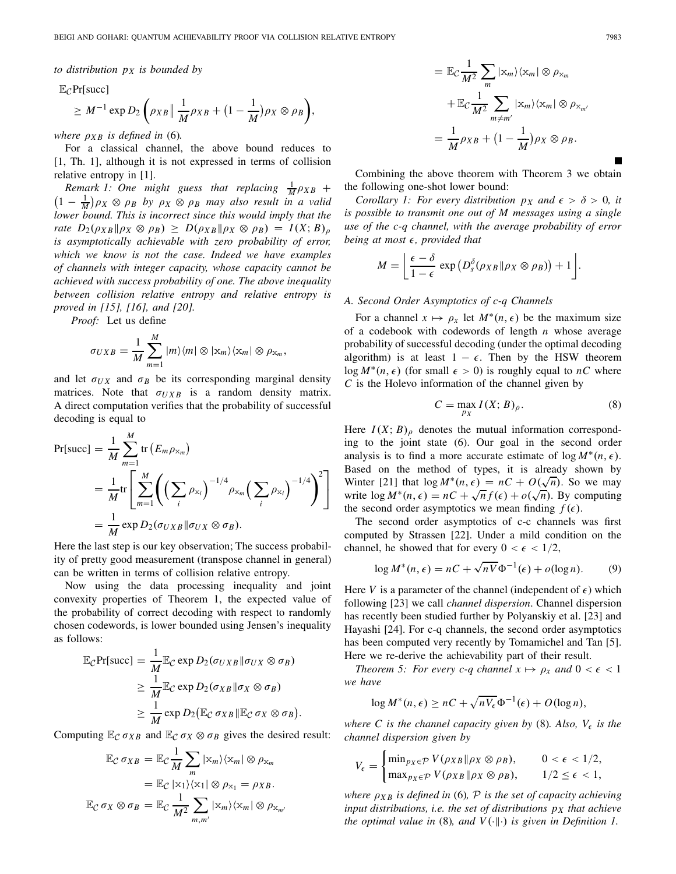,

*to distribution pX is bounded by*

<sup>E</sup>*C*Pr[succ]

$$
\geq M^{-1} \exp D_2 \left( \rho_{XB} \| \frac{1}{M} \rho_{XB} + (1 - \frac{1}{M}) \rho_X \otimes \rho_B \right)
$$

*where*  $\rho_{XB}$  *is defined in* (6).

For a classical channel, the above bound reduces to [1, Th. 1], although it is not expressed in terms of collision relative entropy in [1].

*Remark 1:* One might guess that replacing  $\frac{1}{M} \rho_{XB}$  +  $(1 - \frac{1}{M})\rho_X \otimes \rho_B$  by  $\rho_X \otimes \rho_B$  may also result in a valid *lower bound. This is incorrect since this would imply that the rate*  $D_2(\rho_{XB} \| \rho_X \otimes \rho_B) \geq D(\rho_{XB} \| \rho_X \otimes \rho_B) = I(X; B)_{\rho}$ *is asymptotically achievable with zero probability of error, which we know is not the case. Indeed we have examples of channels with integer capacity, whose capacity cannot be achieved with success probability of one. The above inequality between collision relative entropy and relative entropy is proved in [15], [16], and [20].*

*Proof:* Let us define

*M*

$$
\sigma_{UXB} = \frac{1}{M} \sum_{m=1}^{M} |m\rangle\langle m| \otimes |x_m\rangle\langle x_m| \otimes \rho_{x_m},
$$

and let  $\sigma_{UX}$  and  $\sigma_B$  be its corresponding marginal density matrices. Note that  $\sigma_{UXB}$  is a random density matrix. A direct computation verifies that the probability of successful decoding is equal to

$$
\Pr[\text{succ}] = \frac{1}{M} \sum_{m=1}^{M} \text{tr}\left(E_m \rho_{x_m}\right)
$$
  
= 
$$
\frac{1}{M} \text{tr}\left[\sum_{m=1}^{M} \left(\left(\sum_{i} \rho_{x_i}\right)^{-1/4} \rho_{x_m}\left(\sum_{i} \rho_{x_i}\right)^{-1/4}\right)^2\right]
$$
  
= 
$$
\frac{1}{M} \exp D_2(\sigma_{UXB} || \sigma_{UX} \otimes \sigma_B).
$$

Here the last step is our key observation; The success probability of pretty good measurement (transpose channel in general) can be written in terms of collision relative entropy.

Now using the data processing inequality and joint convexity properties of Theorem 1, the expected value of the probability of correct decoding with respect to randomly chosen codewords, is lower bounded using Jensen's inequality as follows:

$$
\mathbb{E}_{\mathcal{C}}Pr[\text{succ}] = \frac{1}{M} \mathbb{E}_{\mathcal{C}} \exp D_2(\sigma_{UXB} || \sigma_{UX} \otimes \sigma_B)
$$
  
\n
$$
\geq \frac{1}{M} \mathbb{E}_{\mathcal{C}} \exp D_2(\sigma_{XB} || \sigma_X \otimes \sigma_B)
$$
  
\n
$$
\geq \frac{1}{M} \exp D_2(\mathbb{E}_{\mathcal{C}} \sigma_{XB} || \mathbb{E}_{\mathcal{C}} \sigma_X \otimes \sigma_B).
$$

Computing  $\mathbb{E}_{\mathcal{C}} \sigma_{XB}$  and  $\mathbb{E}_{\mathcal{C}} \sigma_X \otimes \sigma_B$  gives the desired result:

$$
\mathbb{E}_{\mathcal{C}} \sigma_{XB} = \mathbb{E}_{\mathcal{C}} \frac{1}{M} \sum_{m} |x_{m}\rangle \langle x_{m}| \otimes \rho_{x_{m}}
$$

$$
= \mathbb{E}_{\mathcal{C}} |x_{1}\rangle \langle x_{1}| \otimes \rho_{x_{1}} = \rho_{XB}.
$$

$$
\mathbb{E}_{\mathcal{C}} \sigma_{X} \otimes \sigma_{B} = \mathbb{E}_{\mathcal{C}} \frac{1}{M^{2}} \sum_{m,m'} |x_{m}\rangle \langle x_{m}| \otimes \rho_{x_{m'}}
$$

$$
= \mathbb{E}_{\mathcal{C}} \frac{1}{M^2} \sum_{m} |x_m\rangle \langle x_m| \otimes \rho_{x_m}
$$

$$
+ \mathbb{E}_{\mathcal{C}} \frac{1}{M^2} \sum_{m \neq m'} |x_m\rangle \langle x_m| \otimes \rho_{x_{m'}}
$$

$$
= \frac{1}{M} \rho_{XB} + \left(1 - \frac{1}{M}\right) \rho_X \otimes \rho_B.
$$

Combining the above theorem with Theorem 3 we obtain the following one-shot lower bound:

*Corollary 1: For every distribution*  $p<sub>X</sub>$  *and*  $\epsilon > \delta > 0$ , *it is possible to transmit one out of M messages using a single use of the c-q channel, with the average probability of error being at most , provided that*

$$
M = \left[ \frac{\epsilon - \delta}{1 - \epsilon} \exp\left( D_s^{\delta}(\rho_{XB} || \rho_X \otimes \rho_B) \right) + 1 \right].
$$

#### *A. Second Order Asymptotics of c-q Channels*

For a channel  $x \mapsto \rho_x$  let  $M^*(n, \epsilon)$  be the maximum size of a codebook with codewords of length *n* whose average probability of successful decoding (under the optimal decoding algorithm) is at least  $1 - \epsilon$ . Then by the HSW theorem log  $M^*(n, \epsilon)$  (for small  $\epsilon > 0$ ) is roughly equal to *nC* where *C* is the Holevo information of the channel given by

$$
C = \max_{p_X} I(X; B)_{\rho}.
$$
 (8)

Here  $I(X; B)$ <sub>ρ</sub> denotes the mutual information corresponding to the joint state (6). Our goal in the second order analysis is to find a more accurate estimate of  $\log M^*(n, \epsilon)$ . Based on the method of types, it is already shown by Based on the method of types, it is already shown by<br>Winter [21] that  $\log M^*(n, \epsilon) = nC + O(\sqrt{n})$ . So we may winter [21] that  $\log M \cdot (n, \epsilon) = nC + O(\sqrt{n})$ . So we hay<br>write  $\log M^*(n, \epsilon) = nC + \sqrt{n} f(\epsilon) + o(\sqrt{n})$ . By computing the second order asymptotics we mean finding  $f(\epsilon)$ .

The second order asymptotics of c-c channels was first computed by Strassen [22]. Under a mild condition on the channel, he showed that for every  $0 < \epsilon < 1/2$ ,

$$
\log M^*(n, \epsilon) = nC + \sqrt{nV} \Phi^{-1}(\epsilon) + o(\log n). \tag{9}
$$

Here *V* is a parameter of the channel (independent of  $\epsilon$ ) which following [23] we call *channel dispersion*. Channel dispersion has recently been studied further by Polyanskiy et al. [23] and Hayashi [24]. For c-q channels, the second order asymptotics has been computed very recently by Tomamichel and Tan [5]. Here we re-derive the achievability part of their result.

*Theorem 5: For every c-q channel*  $x \mapsto \rho_x$  *and*  $0 < \epsilon < 1$ *we have*

$$
\log M^*(n, \epsilon) \ge nC + \sqrt{nV_{\epsilon}} \Phi^{-1}(\epsilon) + O(\log n),
$$

*where* C is the channel capacity given by  $(8)$ . Also,  $V_{\epsilon}$  is the *channel dispersion given by*

$$
V_{\epsilon} = \begin{cases} \min_{p_X \in \mathcal{P}} V(\rho_{XB} || \rho_X \otimes \rho_B), & 0 < \epsilon < 1/2, \\ \max_{p_X \in \mathcal{P}} V(\rho_{XB} || \rho_X \otimes \rho_B), & 1/2 \le \epsilon < 1, \end{cases}
$$

*where* ρ*X B is defined in* (6)*, P is the set of capacity achieving input distributions, i.e. the set of distributions pX that achieve the optimal value in* (8), and  $V(\cdot||\cdot)$  *is given in Definition 1.*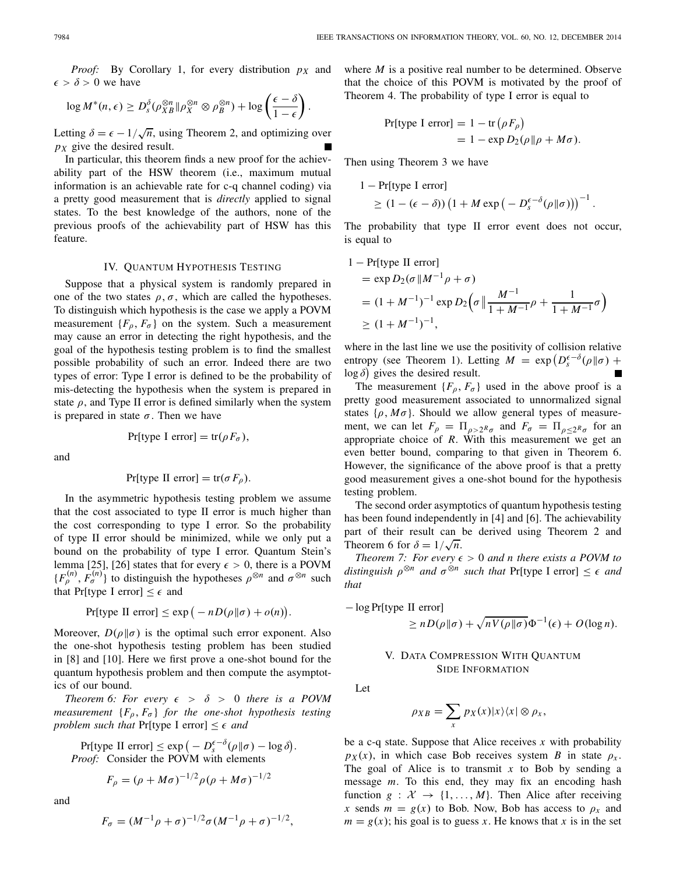*Proof:* By Corollary 1, for every distribution *pX* and  $\epsilon > \delta > 0$  we have

$$
\log M^*(n, \epsilon) \ge D_s^{\delta}(\rho_{XB}^{\otimes n} || \rho_X^{\otimes n} \otimes \rho_B^{\otimes n}) + \log \left(\frac{\epsilon - \delta}{1 - \epsilon}\right).
$$

Letting  $\delta = \epsilon - 1/\sqrt{n}$ , using Theorem 2, and optimizing over *pX* give the desired result.

In particular, this theorem finds a new proof for the achievability part of the HSW theorem (i.e., maximum mutual information is an achievable rate for c-q channel coding) via a pretty good measurement that is *directly* applied to signal states. To the best knowledge of the authors, none of the previous proofs of the achievability part of HSW has this feature.

#### IV. QUANTUM HYPOTHESIS TESTING

Suppose that a physical system is randomly prepared in one of the two states  $\rho, \sigma$ , which are called the hypotheses. To distinguish which hypothesis is the case we apply a POVM measurement  $\{F_{\rho}, F_{\sigma}\}\$  on the system. Such a measurement may cause an error in detecting the right hypothesis, and the goal of the hypothesis testing problem is to find the smallest possible probability of such an error. Indeed there are two types of error: Type I error is defined to be the probability of mis-detecting the hypothesis when the system is prepared in state  $\rho$ , and Type II error is defined similarly when the system is prepared in state  $\sigma$ . Then we have

and

$$
Pr[\text{type I error}] = \text{tr}(\rho F_{\sigma}),
$$

$$
Pr[\text{type II error}] = \text{tr}(\sigma F_{\rho}).
$$

In the asymmetric hypothesis testing problem we assume that the cost associated to type II error is much higher than the cost corresponding to type I error. So the probability of type II error should be minimized, while we only put a bound on the probability of type I error. Quantum Stein's lemma [25], [26] states that for every  $\epsilon > 0$ , there is a POVM  ${F_{\rho}^{(n)}, F_{\sigma}^{(n)}}$  to distinguish the hypotheses  $\rho^{\otimes n}$  and  $\sigma^{\otimes n}$  such that Pr[type I error]  $\leq \epsilon$  and

Pr[type II error] 
$$
\leq
$$
 exp $(-nD(\rho||\sigma) + o(n)).$ 

Moreover,  $D(\rho||\sigma)$  is the optimal such error exponent. Also the one-shot hypothesis testing problem has been studied in [8] and [10]. Here we first prove a one-shot bound for the quantum hypothesis problem and then compute the asymptotics of our bound.

*Theorem 6: For every*  $\epsilon > \delta > 0$  *there is a POVM measurement*  ${F_{\rho}, F_{\sigma}}$  *for the one-shot hypothesis testing problem such that* Pr[type I error]  $\leq \epsilon$  *and* 

 $Pr[\text{type II error}] \leq \exp\left(-D_s^{\epsilon-\delta}(\rho||\sigma) - \log \delta\right).$ *Proof:* Consider the POVM with elements

$$
F_{\rho} = (\rho + M\sigma)^{-1/2} \rho (\rho + M\sigma)^{-1/2}
$$

and

$$
F_{\sigma} = (M^{-1}\rho + \sigma)^{-1/2}\sigma (M^{-1}\rho + \sigma)^{-1/2},
$$

where *M* is a positive real number to be determined. Observe that the choice of this POVM is motivated by the proof of Theorem 4. The probability of type I error is equal to

Pr[type I error] = 
$$
1 - \text{tr}(\rho F_{\rho})
$$
  
=  $1 - \exp D_2(\rho || \rho + M\sigma)$ .

Then using Theorem 3 we have

$$
1 - \Pr[\text{type I error}]
$$
  
 
$$
\geq (1 - (\epsilon - \delta)) (1 + M \exp(-D_s^{\epsilon - \delta}(\rho || \sigma)))^{-1}
$$

The probability that type II error event does not occur, is equal to

.

$$
1 - Pr[type II error]= exp D2(σ ||M-1ρ + σ)= (1 + M-1)-1 exp D2(σ || \frac{M-1}{1 + M-1ρ} + \frac{1}{1 + M-1σ})\ge (1 + M-1)-1,
$$

where in the last line we use the positivity of collision relative entropy (see Theorem 1). Letting  $M = \exp(D_s^{\epsilon-\delta}(\rho||\sigma) +$  $log \delta$ ) gives the desired result.

The measurement  ${F_\rho, F_\sigma}$  used in the above proof is a pretty good measurement associated to unnormalized signal states  $\{\rho, M\sigma\}$ . Should we allow general types of measurement, we can let  $F_{\rho} = \prod_{\rho > 2^R \sigma}$  and  $F_{\sigma} = \prod_{\rho < 2^R \sigma}$  for an appropriate choice of *R*. With this measurement we get an even better bound, comparing to that given in Theorem 6. However, the significance of the above proof is that a pretty good measurement gives a one-shot bound for the hypothesis testing problem.

The second order asymptotics of quantum hypothesis testing has been found independently in [4] and [6]. The achievability part of their result can be derived using Theorem 2 and part of their result can<br>Theorem 6 for  $\delta = 1/\sqrt{n}$ .

*Theorem 7: For every*  $\epsilon > 0$  *and n there exists a POVM to distinguish*  $\rho^{\otimes n}$  *and*  $\sigma^{\otimes n}$  *such that* Pr[type I error]  $\leq \epsilon$  *and that*

– 
$$
log Pr[type II error]
$$

$$
\geq n D(\rho || \sigma) + \sqrt{n V(\rho || \sigma)} \Phi^{-1}(\epsilon) + O(\log n).
$$

## V. DATA COMPRESSION WITH QUANTUM SIDE INFORMATION

Let

$$
\rho_{XB} = \sum_{x} p_X(x) |x\rangle\langle x| \otimes \rho_x,
$$

be a c-q state. Suppose that Alice receives *x* with probability  $p_X(x)$ , in which case Bob receives system *B* in state  $\rho_x$ . The goal of Alice is to transmit *x* to Bob by sending a message *m*. To this end, they may fix an encoding hash function  $g : \mathcal{X} \to \{1, \ldots, M\}$ . Then Alice after receiving *x* sends  $m = g(x)$  to Bob. Now, Bob has access to  $\rho_x$  and  $m = g(x)$ ; his goal is to guess *x*. He knows that *x* is in the set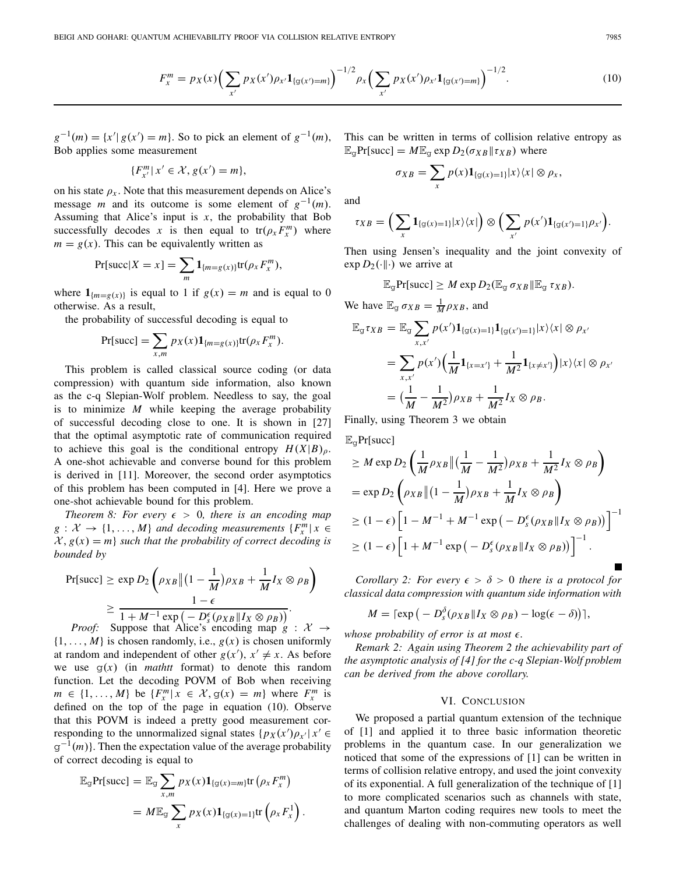$$
F_x^m = p_X(x) \Big( \sum_{x'} p_X(x') \rho_{x'} \mathbf{1}_{\{g(x') = m\}} \Big)^{-1/2} \rho_x \Big( \sum_{x'} p_X(x') \rho_{x'} \mathbf{1}_{\{g(x') = m\}} \Big)^{-1/2}.
$$
 (10)

 $g^{-1}(m) = \{x' | g(x') = m\}$ . So to pick an element of  $g^{-1}(m)$ , Bob applies some measurement

$$
\{F_{x'}^m \mid x' \in \mathcal{X}, g(x') = m\},\
$$

on his state  $\rho_x$ . Note that this measurement depends on Alice's message *m* and its outcome is some element of  $g^{-1}(m)$ . Assuming that Alice's input is  $x$ , the probability that Bob successfully decodes *x* is then equal to  $tr(\rho_x F_x^m)$  where  $m = g(x)$ . This can be equivalently written as

$$
Pr[succ|X = x] = \sum_{m} \mathbf{1}_{\{m=g(x)\}} tr(\rho_x F_x^m),
$$

where  $\mathbf{1}_{\{m=q(x)\}}$  is equal to 1 if  $g(x) = m$  and is equal to 0 otherwise. As a result,

the probability of successful decoding is equal to

$$
Pr[succ] = \sum_{x,m} p_X(x) \mathbf{1}_{\{m=g(x)\}} tr(\rho_x F_x^m).
$$

This problem is called classical source coding (or data compression) with quantum side information, also known as the c-q Slepian-Wolf problem. Needless to say, the goal is to minimize *M* while keeping the average probability of successful decoding close to one. It is shown in [27] that the optimal asymptotic rate of communication required to achieve this goal is the conditional entropy  $H(X|B)$ <sub>p</sub>. A one-shot achievable and converse bound for this problem is derived in [11]. Moreover, the second order asymptotics of this problem has been computed in [4]. Here we prove a one-shot achievable bound for this problem.

*Theorem 8: For every*  $\epsilon > 0$ *, there is an encoding map*  $g: \mathcal{X} \to \{1, \ldots, M\}$  *and decoding measurements*  $\{F_x^m | x \in$  $\mathcal{X}, g(x) = m$  *such that the probability of correct decoding is bounded by*

$$
Pr[\text{succ}] \ge \exp D_2 \left(\rho_{XB} \|(1 - \frac{1}{M})\rho_{XB} + \frac{1}{M}I_X \otimes \rho_B\right)
$$
  
\n
$$
\ge \frac{1 - \epsilon}{1 + M^{-1} \exp\left(-D_2^{\epsilon}(\rho_{XB} \| I_X \otimes \rho_B)\right)}.
$$
  
\n*Proof.* Sumpose that Alice's encoding map of A.

*Proof:* Suppose that Alice's encoding map  $g : \mathcal{X} \rightarrow$  $\{1, \ldots, M\}$  is chosen randomly, i.e.,  $g(x)$  is chosen uniformly at random and independent of other  $g(x')$ ,  $x' \neq x$ . As before we use  $g(x)$  (in *mathtt* format) to denote this random function. Let the decoding POVM of Bob when receiving  $m \in \{1, ..., M\}$  be  $\{F_x^m | x \in \mathcal{X}, g(x) = m\}$  where  $F_x^m$  is defined on the top of the page in equation (10). Observe that this POVM is indeed a pretty good measurement corresponding to the unnormalized signal states  $\{p_X(x')\rho_{x'} | x' \in$  $g^{-1}(m)$ . Then the expectation value of the average probability of correct decoding is equal to

$$
\mathbb{E}_{g} \text{Pr}[\text{succ}] = \mathbb{E}_{g} \sum_{x,m} p_{X}(x) \mathbf{1}_{\{g(x)=m\}} \text{tr} \left( \rho_{x} F_{x}^{m} \right)
$$

$$
= M \mathbb{E}_{g} \sum_{x} p_{X}(x) \mathbf{1}_{\{g(x)=1\}} \text{tr} \left( \rho_{x} F_{x}^{1} \right).
$$

This can be written in terms of collision relative entropy as  $\mathbb{E}_{q}$ Pr[succ] =  $M\mathbb{E}_{q}$  exp  $D_2(\sigma_{XB}|| \tau_{XB})$  where

$$
\sigma_{XB} = \sum_{x} p(x) \mathbf{1}_{\{\mathrm{g}(x)=1\}} |x\rangle\langle x| \otimes \rho_x,
$$

and

$$
\tau_{XB} = \left(\sum_{x} \mathbf{1}_{\{g(x)=1\}} |x\rangle\langle x| \right) \otimes \left(\sum_{x'} p(x') \mathbf{1}_{\{g(x')=1\}} \rho_{x'}\right).
$$

Then using Jensen's inequality and the joint convexity of  $\exp D_2(\cdot\|\cdot)$  we arrive at

$$
\mathbb{E}_{\mathcal{G}}Pr[\text{succ}] \geq M \exp D_2(\mathbb{E}_{\mathcal{G}} \sigma_{XB} \|\mathbb{E}_{\mathcal{G}} \tau_{XB}).
$$

We have  $\mathbb{E}_{\mathbb{G}} \sigma_{XB} = \frac{1}{M} \rho_{XB}$ , and

$$
\mathbb{E}_{g} \tau_{XB} = \mathbb{E}_{g} \sum_{x,x'} p(x') \mathbf{1}_{\{g(x)=1\}} \mathbf{1}_{\{g(x')=1\}} |x\rangle\langle x| \otimes \rho_{x'}
$$
  
= 
$$
\sum_{x,x'} p(x') \Big( \frac{1}{M} \mathbf{1}_{\{x=x'\}} + \frac{1}{M^2} \mathbf{1}_{\{x \neq x'\}} \Big) |x\rangle\langle x| \otimes \rho_{x'}
$$
  
= 
$$
\Big( \frac{1}{M} - \frac{1}{M^2} \Big) \rho_{XB} + \frac{1}{M^2} I_X \otimes \rho_B.
$$

Finally, using Theorem 3 we obtain

 $\mathbb{E}_{\alpha}$ Pr[succ]

$$
\geq M \exp D_2 \left( \frac{1}{M} \rho_{XB} \left\| \left( \frac{1}{M} - \frac{1}{M^2} \right) \rho_{XB} + \frac{1}{M^2} I_X \otimes \rho_B \right) \right)
$$
  
=  $\exp D_2 \left( \rho_{XB} \left\| \left( 1 - \frac{1}{M} \right) \rho_{XB} + \frac{1}{M} I_X \otimes \rho_B \right) \right)$   
 $\geq (1 - \epsilon) \left[ 1 - M^{-1} + M^{-1} \exp \left( -D_s^{\epsilon} (\rho_{XB} || I_X \otimes \rho_B) \right) \right]^{-1}$   
 $\geq (1 - \epsilon) \left[ 1 + M^{-1} \exp \left( -D_s^{\epsilon} (\rho_{XB} || I_X \otimes \rho_B) \right) \right]^{-1}.$ 

*Corollary 2: For every*  $\epsilon > \delta > 0$  *there is a protocol for classical data compression with quantum side information with*

$$
M = \lceil \exp(-D_s^{\delta}(\rho_{XB} || I_X \otimes \rho_B) - \log(\epsilon - \delta)) \rceil,
$$

*whose probability of error is at most*  $\epsilon$ *.* 

*Remark 2: Again using Theorem 2 the achievability part of the asymptotic analysis of [4] for the c-q Slepian-Wolf problem can be derived from the above corollary.*

#### VI. CONCLUSION

We proposed a partial quantum extension of the technique of [1] and applied it to three basic information theoretic problems in the quantum case. In our generalization we noticed that some of the expressions of [1] can be written in terms of collision relative entropy, and used the joint convexity of its exponential. A full generalization of the technique of [1] to more complicated scenarios such as channels with state, and quantum Marton coding requires new tools to meet the challenges of dealing with non-commuting operators as well